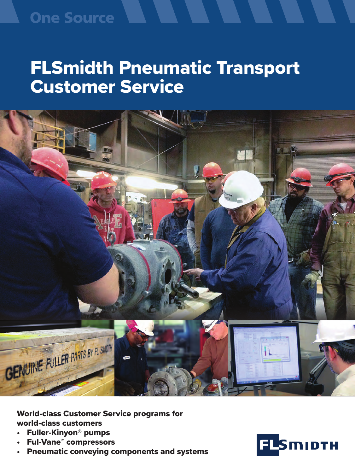### **One Source**

# FLSmidth Pneumatic Transport Customer Service



World-class Customer Service programs for world-class customers

- Fuller-Kinyon® pumps
- Ful-Vane™ compressors
- Pneumatic conveying components and systems

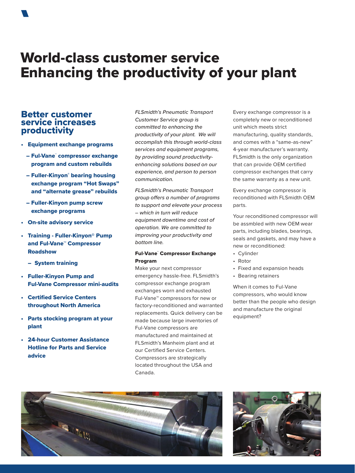### World-class customer service Enhancing the productivity of your plant

### Better customer service increases productivity

- Equipment exchange programs
	- Ful-Vane™ compressor exchange program and custom rebuilds
	- Fuller-Kinyon® bearing housing exchange program "Hot Swaps" and "alternate grease" rebuilds
	- Fuller-Kinyon pump screw exchange programs
- On-site advisory service
- Training Fuller-Kinyon® Pump and Ful-Vane™ Compressor Roadshow
	- System training
- Fuller-Kinyon Pump and Ful-Vane Compressor mini-audits
- Certified Service Centers throughout North America
- Parts stocking program at your plant
- 24-hour Customer Assistance Hotline for Parts and Service advice

*FLSmidth's Pneumatic Transport Customer Service group is committed to enhancing the productivity of your plant. We will accomplish this through world-class services and equipment programs, by providing sound productivityenhancing solutions based on our experience, and person to person communication.* 

*FLSmidth's Pneumatic Transport group offers a number of programs to support and elevate your process – which in turn will reduce equipment downtime and cost of operation. We are committed to improving your productivity and bottom line.*

### Ful-Vane™ Compressor Exchange Program

Make your next compressor emergency hassle-free. FLSmidth's compressor exchange program exchanges worn and exhausted Ful-Vane™ compressors for new or factory-reconditioned and warranted replacements. Quick delivery can be made because large inventories of Ful-Vane compressors are manufactured and maintained at FLSmidth's Manheim plant and at our Certified Service Centers. Compressors are strategically located throughout the USA and Canada.

Every exchange compressor is a completely new or reconditioned unit which meets strict manufacturing, quality standards, and comes with a "same-as-new" 4-year manufacturer's warranty. FLSmidth is the only organization that can provide OEM certified compressor exchanges that carry the same warranty as a new unit.

Every exchange compressor is reconditioned with FLSmidth OEM parts.

Your reconditioned compressor will be assmbled with new OEM wear parts, including blades, bearings, seals and gaskets, and may have a new or reconditioned:

- Cylinder
- Rotor
- Fixed and expansion heads
- Bearing retainers

When it comes to Ful-Vane compressors, who would know better than the people who design and manufacture the original equipment?



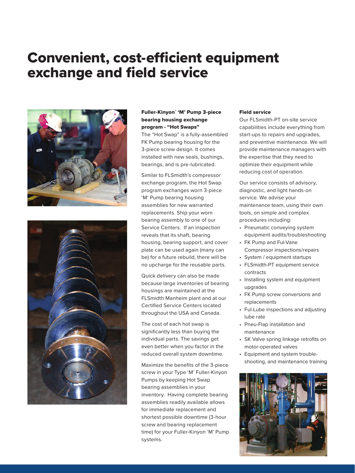### Convenient, cost-efficient equipment exchange and field service





### Fuller-Kinyon® 'M' Pump 3-piece bearing housing exchange program - "Hot Swaps"

The "Hot Swap" is a fully-assembled FK Pump bearing housing for the 3-piece screw design. It comes installed with new seals, bushings, bearings, and is pre-lubricated.

Similar to FLSmidth's compressor exchange program, the Hot Swap program exchanges worn 3-piece 'M' Pump bearing housing assemblies for new warranted replacements. Ship your worn bearing assembly to one of our Service Centers. If an inspection reveals that its shaft, bearing housing, bearing support, and cover plate can be used again (many can be) for a future rebuild, there will be no upcharge for the reusable parts.

Quick delivery can also be made because large inventories of bearing housings are maintained at the FLSmidth Manheim plant and at our Certified Service Centers located throughout the USA and Canada.

The cost of each hot swap is significantly less than buying the individual parts. The savings get even better when you factor in the reduced overall system downtime.

Maximize the benefits of the 3-piece screw in your Type 'M' Fuller-Kinyon Pumps by keeping Hot Swap bearing assemblies in your inventory. Having complete bearing assemblies readily available allows for immediate replacement and shortest possible downtime (3-hour screw and bearing replacement time) for your Fuller-Kinyon 'M' Pump systems.

### Field service

Our FLSmidth-PT on-site service capabilities include everything from start-ups to repairs and upgrades, and preventive maintenance. We will provide maintenance managers with the expertise that they need to optimize their equipment while reducing cost of operation.

Our service consists of advisory, diagnostic, and light hands-on service. We advise your maintenance team, using their own tools, on simple and complex procedures including:

- Pneumatic conveying system equipment audits/troubleshooting
- FK Pump and Ful-Vane Compressor inspections/repairs
- System / equipment startups
- FLSmidth-PT equipment service contracts
- Installing system and equipment upgrades
- FK Pump screw conversions and replacements
- Ful-Lube inspections and adjusting lube rate
- Pneu-Flap installation and maintenance
- SK Valve spring linkage retrofits on motor-operated valves
- Equipment and system troubleshooting, and maintenance training

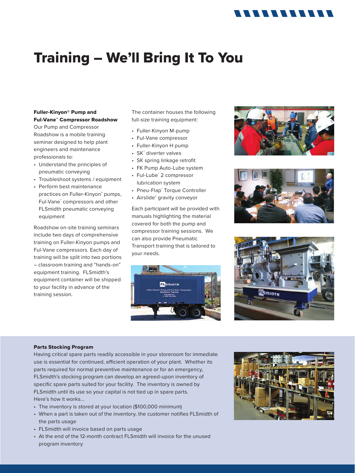### 11111111111

## Training – We'll Bring It To You

### Fuller-Kinyon® Pump and Ful-Vane™ Compressor Roadshow

Our Pump and Compressor Roadshow is a mobile training seminar designed to help plant engineers and maintenance professionals to:

- Understand the principles of pneumatic conveying
- Troubleshoot systems / equipment
- Perform best maintenance practices on Fuller-Kinyon® pumps, Ful-Vane™ compressors and other FLSmidth pneumatic conveying equipment

Roadshow on-site training seminars include two days of comprehensive training on Fuller-Kinyon pumps and Ful-Vane compressors. Each day of training will be split into two portions – classroom training and "hands-on" equipment training. FLSmidth's equipment container will be shipped to your facility in advance of the training session.

The container houses the following full-size training equipment:

- Fuller-Kinyon M-pump
- Ful-Vane compressor
- Fuller-Kinyon H pump
- SK™ diverter valves
- SK spring linkage retrofit
- FK Pump Auto-Lube system
- Ful-Lube™ 2 compressor lubrication system
- Pneu-Flap™ Torque Controller
- Airslide® gravity conveyor

Each participant will be provided with manuals highlighting the material covered for both the pump and compressor training sessions. We can also provide Pneumatic Transport training that is tailored to your needs.









#### Parts Stocking Program

Having critical spare parts readily accessible in your storeroom for immediate use is essential for continued, efficient operation of your plant. Whether its parts required for normal preventive maintenance or for an emergency, FLSmidth's stocking program can develop an agreed-upon inventory of specific spare parts suited for your facility. The inventory is owned by FLSmidth until its use so your capital is not tied up in spare parts. Here's how it works...

- The inventory is stored at your location (\$100,000 minimum)
- When a part is taken out of the inventory, the customer notifies FLSmidth of the parts usage
- FLSmidth will invoice based on parts usage
- At the end of the 12-month contract FLSmidth will invoice for the unused program inventory

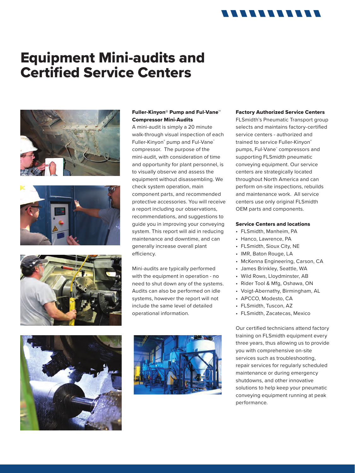### 11111111111

### Equipment Mini-audits and Certified Service Centers







### Fuller-Kinyon® Pump and Ful-Vane™ Compressor Mini-Audits

A mini-audit is simply a 20 minute walk-through visual inspection of each Fuller-Kinyon® pump and Ful-Vane® compressor. The purpose of the mini-audit, with consideration of time and opportunity for plant personnel, is to visually observe and assess the equipment without disassembling. We check system operation, main component parts, and recommended protective accessories. You will receive a report including our observations, recommendations, and suggestions to guide you in improving your conveying system. This report will aid in reducing maintenance and downtime, and can generally increase overall plant efficiency.

Mini-audits are typically performed with the equipment in operation - no need to shut down any of the systems. Audits can also be performed on idle systems, however the report will not include the same level of detailed operational information.





### Factory Authorized Service Centers

FLSmidth's Pneumatic Transport group selects and maintains factory-certified service centers - authorized and trained to service Fuller-Kinyon® pumps, Ful-Vane™ compressors and supporting FLSmidth pneumatic conveying equipment. Our service centers are strategically located throughout North America and can perform on-site inspections, rebuilds and maintenance work. All service centers use only original FLSmidth OEM parts and components.

#### Service Centers and locations

- FLSmidth, Manheim, PA
- Hanco, Lawrence, PA
- FLSmidth, Sioux City, NE
- IMR, Baton Rouge, LA
- McKenna Engineering, Carson, CA
- James Brinkley, Seattle, WA
- Wild Rows, Lloydminster, AB
- Rider Tool & Mfg, Oshawa, ON
- Voigt-Abernathy, Birmingham, AL
- APCCO, Modesto, CA
- FLSmidth, Tuscon, AZ
- FLSmidth, Zacatecas, Mexico

Our certified technicians attend factory training on FLSmidth equipment every three years, thus allowing us to provide you with comprehensive on-site services such as troubleshooting, repair services for regularly scheduled maintenance or during emergency shutdowns, and other innovative solutions to help keep your pneumatic conveying equipment running at peak performance.